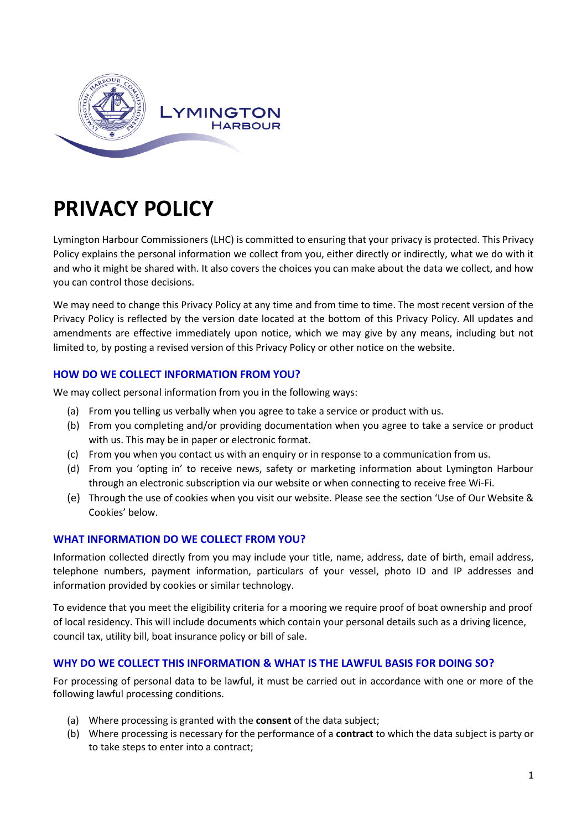

# **PRIVACY POLICY**

Lymington Harbour Commissioners (LHC) is committed to ensuring that your privacy is protected. This Privacy Policy explains the personal information we collect from you, either directly or indirectly, what we do with it and who it might be shared with. It also covers the choices you can make about the data we collect, and how you can control those decisions.

We may need to change this Privacy Policy at any time and from time to time. The most recent version of the Privacy Policy is reflected by the version date located at the bottom of this Privacy Policy. All updates and amendments are effective immediately upon notice, which we may give by any means, including but not limited to, by posting a revised version of this Privacy Policy or other notice on the website.

# **HOW DO WE COLLECT INFORMATION FROM YOU?**

We may collect personal information from you in the following ways:

- (a) From you telling us verbally when you agree to take a service or product with us.
- (b) From you completing and/or providing documentation when you agree to take a service or product with us. This may be in paper or electronic format.
- (c) From you when you contact us with an enquiry or in response to a communication from us.
- (d) From you 'opting in' to receive news, safety or marketing information about Lymington Harbour through an electronic subscription via our website or when connecting to receive free Wi-Fi.
- (e) Through the use of cookies when you visit our website. Please see the section 'Use of Our Website & Cookies' below.

## **WHAT INFORMATION DO WE COLLECT FROM YOU?**

Information collected directly from you may include your title, name, address, date of birth, email address, telephone numbers, payment information, particulars of your vessel, photo ID and IP addresses and information provided by cookies or similar technology.

To evidence that you meet the eligibility criteria for a mooring we require proof of boat ownership and proof of local residency. This will include documents which contain your personal details such as a driving licence, council tax, utility bill, boat insurance policy or bill of sale.

# **WHY DO WE COLLECT THIS INFORMATION & WHAT IS THE LAWFUL BASIS FOR DOING SO?**

For processing of personal data to be lawful, it must be carried out in accordance with one or more of the following lawful processing conditions.

- (a) Where processing is granted with the **consent** of the data subject;
- (b) Where processing is necessary for the performance of a **contract** to which the data subject is party or to take steps to enter into a contract;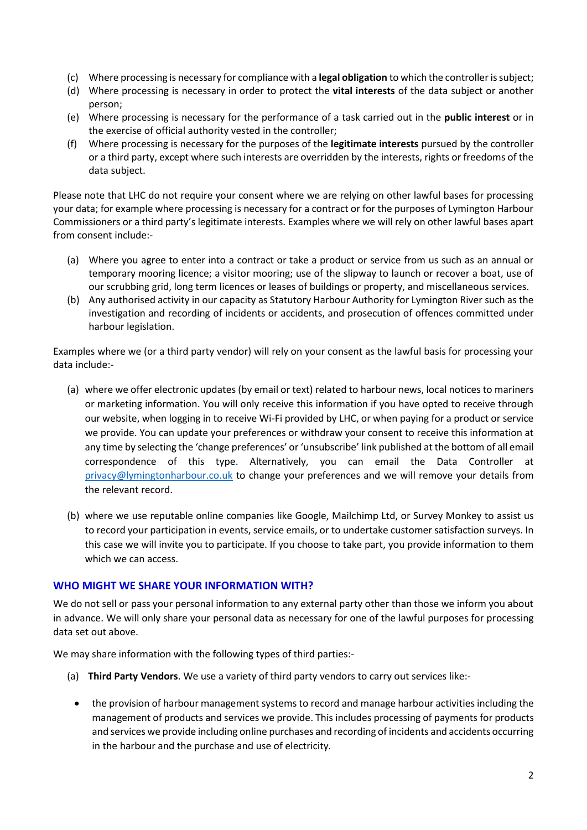- (c) Where processing is necessary for compliance with a **legal obligation** to which the controller is subject;
- (d) Where processing is necessary in order to protect the **vital interests** of the data subject or another person;
- (e) Where processing is necessary for the performance of a task carried out in the **public interest** or in the exercise of official authority vested in the controller;
- (f) Where processing is necessary for the purposes of the **legitimate interests** pursued by the controller or a third party, except where such interests are overridden by the interests, rights or freedoms of the data subject.

Please note that LHC do not require your consent where we are relying on other lawful bases for processing your data; for example where processing is necessary for a contract or for the purposes of Lymington Harbour Commissioners or a third party's legitimate interests. Examples where we will rely on other lawful bases apart from consent include:-

- (a) Where you agree to enter into a contract or take a product or service from us such as an annual or temporary mooring licence; a visitor mooring; use of the slipway to launch or recover a boat, use of our scrubbing grid, long term licences or leases of buildings or property, and miscellaneous services.
- (b) Any authorised activity in our capacity as Statutory Harbour Authority for Lymington River such as the investigation and recording of incidents or accidents, and prosecution of offences committed under harbour legislation.

Examples where we (or a third party vendor) will rely on your consent as the lawful basis for processing your data include:-

- (a) where we offer electronic updates (by email or text) related to harbour news, local notices to mariners or marketing information. You will only receive this information if you have opted to receive through our website, when logging in to receive Wi-Fi provided by LHC, or when paying for a product or service we provide. You can update your preferences or withdraw your consent to receive this information at any time by selecting the 'change preferences' or 'unsubscribe' link published at the bottom of all email correspondence of this type. Alternatively, you can email the Data Controller at [privacy@lymingtonharbour.co.uk](mailto:privacy@lymingtonharbour.co.uk) to change your preferences and we will remove your details from the relevant record.
- (b) where we use reputable online companies like Google, Mailchimp Ltd, or Survey Monkey to assist us to record your participation in events, service emails, or to undertake customer satisfaction surveys. In this case we will invite you to participate. If you choose to take part, you provide information to them which we can access.

## **WHO MIGHT WE SHARE YOUR INFORMATION WITH?**

We do not sell or pass your personal information to any external party other than those we inform you about in advance. We will only share your personal data as necessary for one of the lawful purposes for processing data set out above.

We may share information with the following types of third parties:-

- (a) **Third Party Vendors**. We use a variety of third party vendors to carry out services like:-
	- the provision of harbour management systems to record and manage harbour activities including the management of products and services we provide. This includes processing of payments for products and services we provide including online purchases and recording of incidents and accidents occurring in the harbour and the purchase and use of electricity.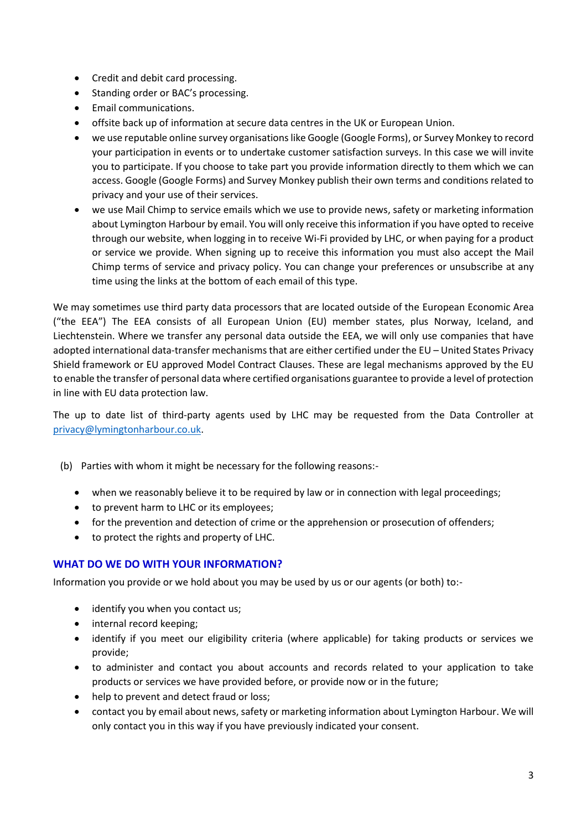- Credit and debit card processing.
- Standing order or BAC's processing.
- Email communications.
- offsite back up of information at secure data centres in the UK or European Union.
- we use reputable online survey organisations like Google (Google Forms), or Survey Monkey to record your participation in events or to undertake customer satisfaction surveys. In this case we will invite you to participate. If you choose to take part you provide information directly to them which we can access. Google (Google Forms) and Survey Monkey publish their own terms and conditions related to privacy and your use of their services.
- we use Mail Chimp to service emails which we use to provide news, safety or marketing information about Lymington Harbour by email. You will only receive this information if you have opted to receive through our website, when logging in to receive Wi-Fi provided by LHC, or when paying for a product or service we provide. When signing up to receive this information you must also accept the Mail Chimp terms of service and privacy policy. You can change your preferences or unsubscribe at any time using the links at the bottom of each email of this type.

We may sometimes use third party data processors that are located outside of the European Economic Area ("the EEA") The EEA consists of all European Union (EU) member states, plus Norway, Iceland, and Liechtenstein. Where we transfer any personal data outside the EEA, we will only use companies that have adopted international data-transfer mechanisms that are either certified under the EU – United States Privacy Shield framework or EU approved Model Contract Clauses. These are legal mechanisms approved by the EU to enable the transfer of personal data where certified organisations guarantee to provide a level of protection in line with EU data protection law.

The up to date list of third-party agents used by LHC may be requested from the Data Controller at [privacy@lymingtonharbour.co.uk.](mailto:privacy@lymingtonharbour.co.uk)

- (b) Parties with whom it might be necessary for the following reasons:-
	- when we reasonably believe it to be required by law or in connection with legal proceedings;
	- to prevent harm to LHC or its employees;
	- for the prevention and detection of crime or the apprehension or prosecution of offenders;
	- to protect the rights and property of LHC.

## **WHAT DO WE DO WITH YOUR INFORMATION?**

Information you provide or we hold about you may be used by us or our agents (or both) to:-

- identify you when you contact us;
- internal record keeping;
- identify if you meet our eligibility criteria (where applicable) for taking products or services we provide;
- to administer and contact you about accounts and records related to your application to take products or services we have provided before, or provide now or in the future;
- help to prevent and detect fraud or loss:
- contact you by email about news, safety or marketing information about Lymington Harbour. We will only contact you in this way if you have previously indicated your consent.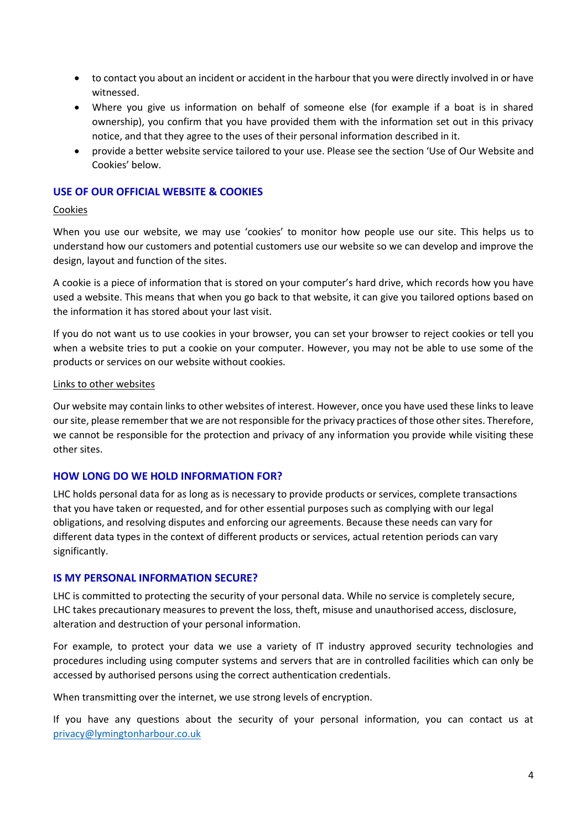- to contact you about an incident or accident in the harbour that you were directly involved in or have witnessed.
- Where you give us information on behalf of someone else (for example if a boat is in shared ownership), you confirm that you have provided them with the information set out in this privacy notice, and that they agree to the uses of their personal information described in it.
- provide a better website service tailored to your use. Please see the section 'Use of Our Website and Cookies' below.

## **USE OF OUR OFFICIAL WEBSITE & COOKIES**

#### Cookies

When you use our website, we may use 'cookies' to monitor how people use our site. This helps us to understand how our customers and potential customers use our website so we can develop and improve the design, layout and function of the sites.

A cookie is a piece of information that is stored on your computer's hard drive, which records how you have used a website. This means that when you go back to that website, it can give you tailored options based on the information it has stored about your last visit.

If you do not want us to use cookies in your browser, you can set your browser to reject cookies or tell you when a website tries to put a cookie on your computer. However, you may not be able to use some of the products or services on our website without cookies.

#### Links to other websites

Our website may contain links to other websites of interest. However, once you have used these links to leave our site, please remember that we are not responsible for the privacy practices of those other sites. Therefore, we cannot be responsible for the protection and privacy of any information you provide while visiting these other sites.

#### **HOW LONG DO WE HOLD INFORMATION FOR?**

LHC holds personal data for as long as is necessary to provide products or services, complete transactions that you have taken or requested, and for other essential purposes such as complying with our legal obligations, and resolving disputes and enforcing our agreements. Because these needs can vary for different data types in the context of different products or services, actual retention periods can vary significantly.

#### **IS MY PERSONAL INFORMATION SECURE?**

LHC is committed to protecting the security of your personal data. While no service is completely secure, LHC takes precautionary measures to prevent the loss, theft, misuse and unauthorised access, disclosure, alteration and destruction of your personal information.

For example, to protect your data we use a variety of IT industry approved security technologies and procedures including using computer systems and servers that are in controlled facilities which can only be accessed by authorised persons using the correct authentication credentials.

When transmitting over the internet, we use strong levels of encryption.

If you have any questions about the security of your personal information, you can contact us at [privacy@lymingtonharbour.co.uk](mailto:privacy@lymingtonharbour.co.uk)